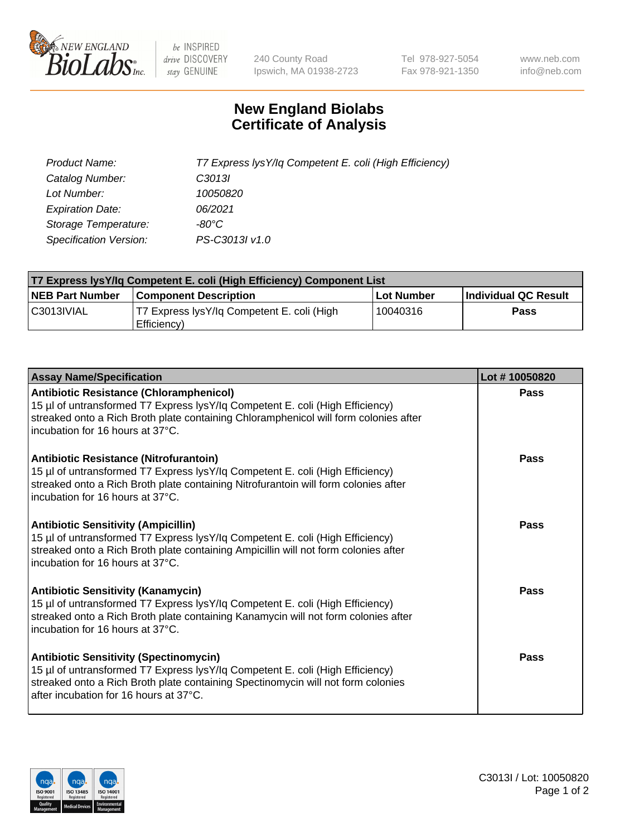

 $be$  INSPIRED drive DISCOVERY stay GENUINE

240 County Road Ipswich, MA 01938-2723 Tel 978-927-5054 Fax 978-921-1350 www.neb.com info@neb.com

## **New England Biolabs Certificate of Analysis**

| Product Name:           | T7 Express lysY/lq Competent E. coli (High Efficiency) |
|-------------------------|--------------------------------------------------------|
| Catalog Number:         | C <sub>3013</sub>                                      |
| Lot Number:             | 10050820                                               |
| <b>Expiration Date:</b> | 06/2021                                                |
| Storage Temperature:    | -80°C                                                  |
| Specification Version:  | PS-C3013I v1.0                                         |

| <b>T7 Express lysY/lg Competent E. coli (High Efficiency) Component List</b> |                                                           |            |                      |  |
|------------------------------------------------------------------------------|-----------------------------------------------------------|------------|----------------------|--|
| <b>NEB Part Number</b>                                                       | <b>Component Description</b>                              | Lot Number | Individual QC Result |  |
| C3013IVIAL                                                                   | T7 Express lysY/lg Competent E. coli (High<br>Efficiency) | 10040316   | Pass                 |  |

| <b>Assay Name/Specification</b>                                                                                                                                                                                                                              | Lot #10050820 |
|--------------------------------------------------------------------------------------------------------------------------------------------------------------------------------------------------------------------------------------------------------------|---------------|
| Antibiotic Resistance (Chloramphenicol)<br>15 µl of untransformed T7 Express lysY/lq Competent E. coli (High Efficiency)<br>streaked onto a Rich Broth plate containing Chloramphenicol will form colonies after<br>incubation for 16 hours at 37°C.         | Pass          |
| Antibiotic Resistance (Nitrofurantoin)<br>15 µl of untransformed T7 Express lysY/lq Competent E. coli (High Efficiency)<br>streaked onto a Rich Broth plate containing Nitrofurantoin will form colonies after<br>incubation for 16 hours at 37°C.           | Pass          |
| <b>Antibiotic Sensitivity (Ampicillin)</b><br>15 µl of untransformed T7 Express lysY/lq Competent E. coli (High Efficiency)<br>streaked onto a Rich Broth plate containing Ampicillin will not form colonies after<br>Incubation for 16 hours at 37°C.       | Pass          |
| <b>Antibiotic Sensitivity (Kanamycin)</b><br>15 µl of untransformed T7 Express lysY/lq Competent E. coli (High Efficiency)<br>streaked onto a Rich Broth plate containing Kanamycin will not form colonies after<br>incubation for 16 hours at 37°C.         | <b>Pass</b>   |
| <b>Antibiotic Sensitivity (Spectinomycin)</b><br>15 µl of untransformed T7 Express lysY/lq Competent E. coli (High Efficiency)<br>streaked onto a Rich Broth plate containing Spectinomycin will not form colonies<br>after incubation for 16 hours at 37°C. | Pass          |